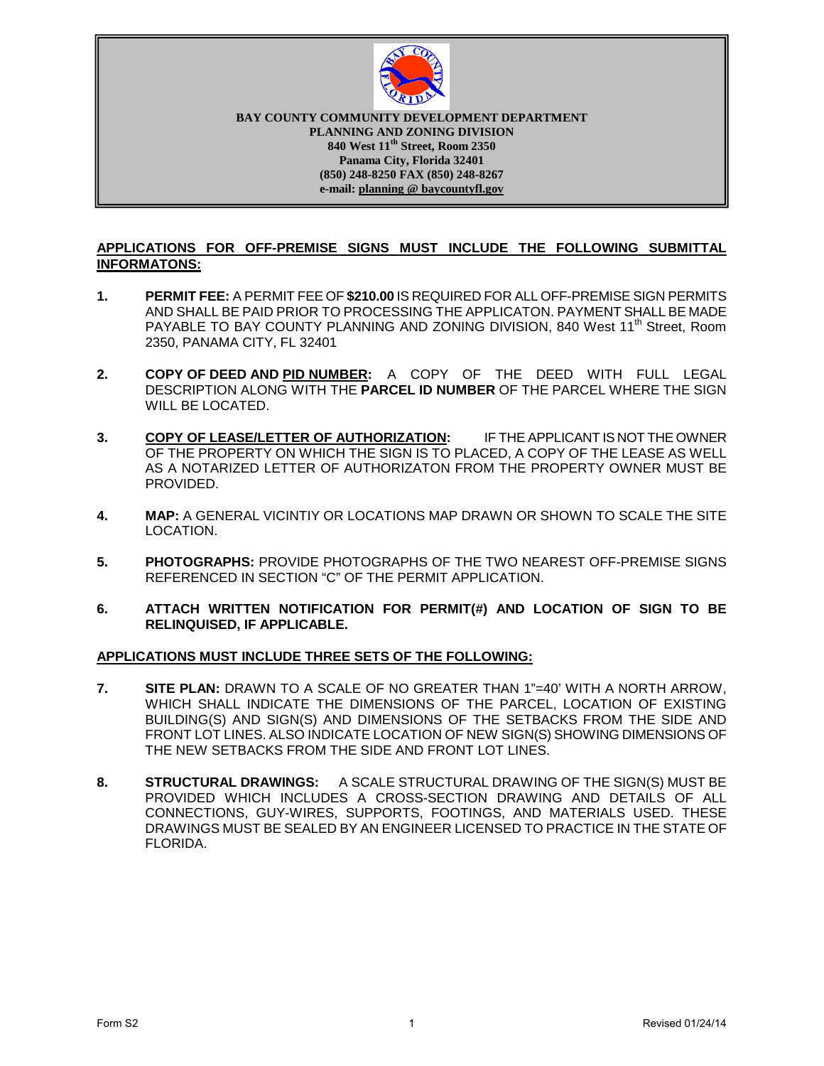

**PLANNING AND ZONING DIVISION 10 West 11 Street, Room 23:**<br>**Panama City, Florida 32401 BAY COUNTY COMMUNITY DEVELOPMENT DEPARTMENT 840 West 11th Street, Room 2350 (850) 248-8250 FAX (850) 248-8267 e-mail: planning @ baycountyfl.gov**

#### **APPLICATIONS FOR OFF-PREMISE SIGNS MUST INCLUDE THE FOLLOWING SUBMITTAL INFORMATONS:**

- **1. PERMIT FEE:** A PERMIT FEE OF **\$210.00** IS REQUIRED FOR ALL OFF-PREMISE SIGN PERMITS AND SHALL BE PAID PRIOR TO PROCESSING THE APPLICATON. PAYMENT SHALL BE MADE PAYABLE TO BAY COUNTY PLANNING AND ZONING DIVISION, 840 West 11<sup>th</sup> Street, Room 2350, PANAMA CITY, FL 32401
- **2. COPY OF DEED AND PID NUMBER:** A COPY OF THE DEED WITH FULL LEGAL DESCRIPTION ALONG WITH THE **PARCEL ID NUMBER** OF THE PARCEL WHERE THE SIGN WILL BE LOCATED.
- **3. COPY OF LEASE/LETTER OF AUTHORIZATION:** IF THE APPLICANT IS NOT THE OWNER OF THE PROPERTY ON WHICH THE SIGN IS TO PLACED, A COPY OF THE LEASE AS WELL AS A NOTARIZED LETTER OF AUTHORIZATON FROM THE PROPERTY OWNER MUST BE PROVIDED.
- **4. MAP:** A GENERAL VICINTIY OR LOCATIONS MAP DRAWN OR SHOWN TO SCALE THE SITE LOCATION.
- **5. PHOTOGRAPHS:** PROVIDE PHOTOGRAPHS OF THE TWO NEAREST OFF-PREMISE SIGNS REFERENCED IN SECTION "C" OF THE PERMIT APPLICATION.
- **6. ATTACH WRITTEN NOTIFICATION FOR PERMIT(#) AND LOCATION OF SIGN TO BE RELINQUISED, IF APPLICABLE.**

#### **APPLICATIONS MUST INCLUDE THREE SETS OF THE FOLLOWING:**

- **7. SITE PLAN:** DRAWN TO A SCALE OF NO GREATER THAN 1"=40' WITH A NORTH ARROW, WHICH SHALL INDICATE THE DIMENSIONS OF THE PARCEL, LOCATION OF EXISTING BUILDING(S) AND SIGN(S) AND DIMENSIONS OF THE SETBACKS FROM THE SIDE AND FRONT LOT LINES. ALSO INDICATE LOCATION OF NEW SIGN(S) SHOWING DIMENSIONS OF THE NEW SETBACKS FROM THE SIDE AND FRONT LOT LINES.
- **8. STRUCTURAL DRAWINGS:** A SCALE STRUCTURAL DRAWING OF THE SIGN(S) MUST BE PROVIDED WHICH INCLUDES A CROSS-SECTION DRAWING AND DETAILS OF ALL CONNECTIONS, GUY-WIRES, SUPPORTS, FOOTINGS, AND MATERIALS USED. THESE DRAWINGS MUST BE SEALED BY AN ENGINEER LICENSED TO PRACTICE IN THE STATE OF FLORIDA.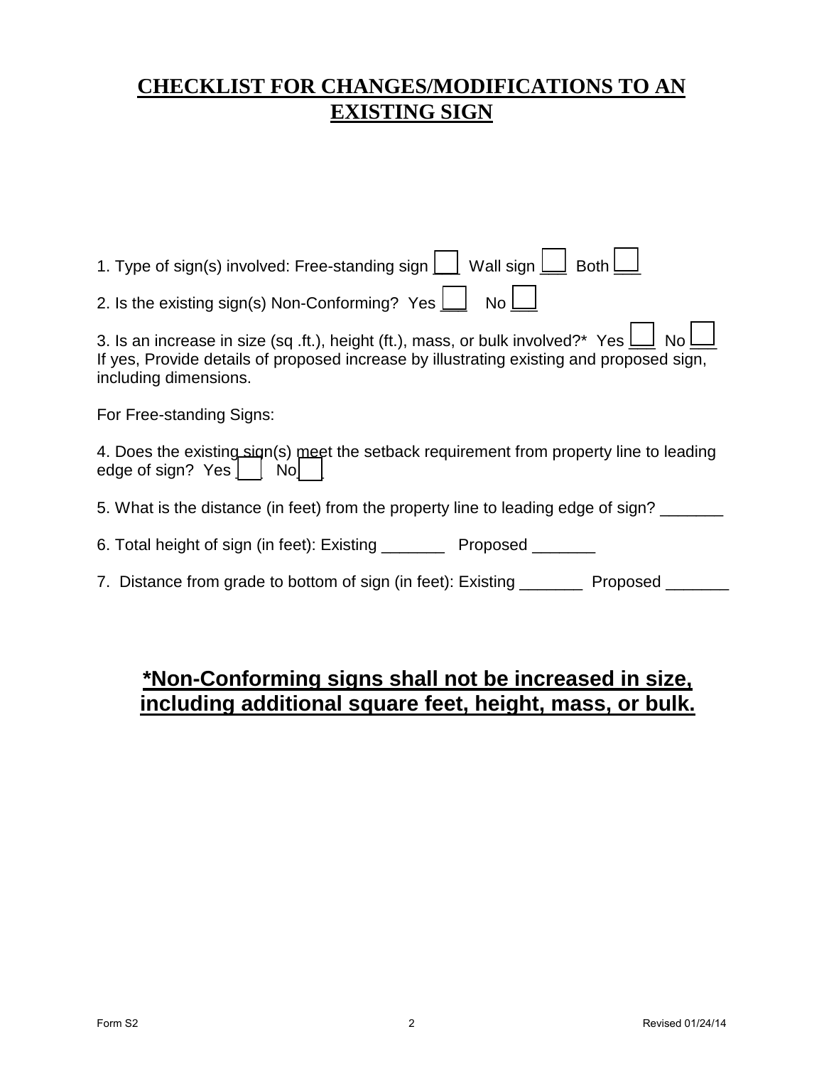# **CHECKLIST FOR CHANGES/MODIFICATIONS TO AN EXISTING SIGN**

| 1. Type of sign(s) involved: Free-standing sign $\boxed{\phantom{a}}$ Wall sign $\boxed{\phantom{a}}$<br><b>Both</b>                                                                                                       |
|----------------------------------------------------------------------------------------------------------------------------------------------------------------------------------------------------------------------------|
| 2. Is the existing sign(s) Non-Conforming? Yes $\Box$<br>No                                                                                                                                                                |
| 3. Is an increase in size (sq .ft.), height (ft.), mass, or bulk involved?* Yes $\frac{1}{2}$<br>No l<br>If yes, Provide details of proposed increase by illustrating existing and proposed sign,<br>including dimensions. |
| For Free-standing Signs:                                                                                                                                                                                                   |
| 4. Does the existing sign(s) meet the setback requirement from property line to leading<br>edge of sign? Yes    <br>Nol                                                                                                    |
| 5. What is the distance (in feet) from the property line to leading edge of sign?                                                                                                                                          |
| 6. Total height of sign (in feet): Existing _________ Proposed _______                                                                                                                                                     |
| 7. Distance from grade to bottom of sign (in feet): Existing<br>Proposed                                                                                                                                                   |

# **\*Non-Conforming signs shall not be increased in size, including additional square feet, height, mass, or bulk.**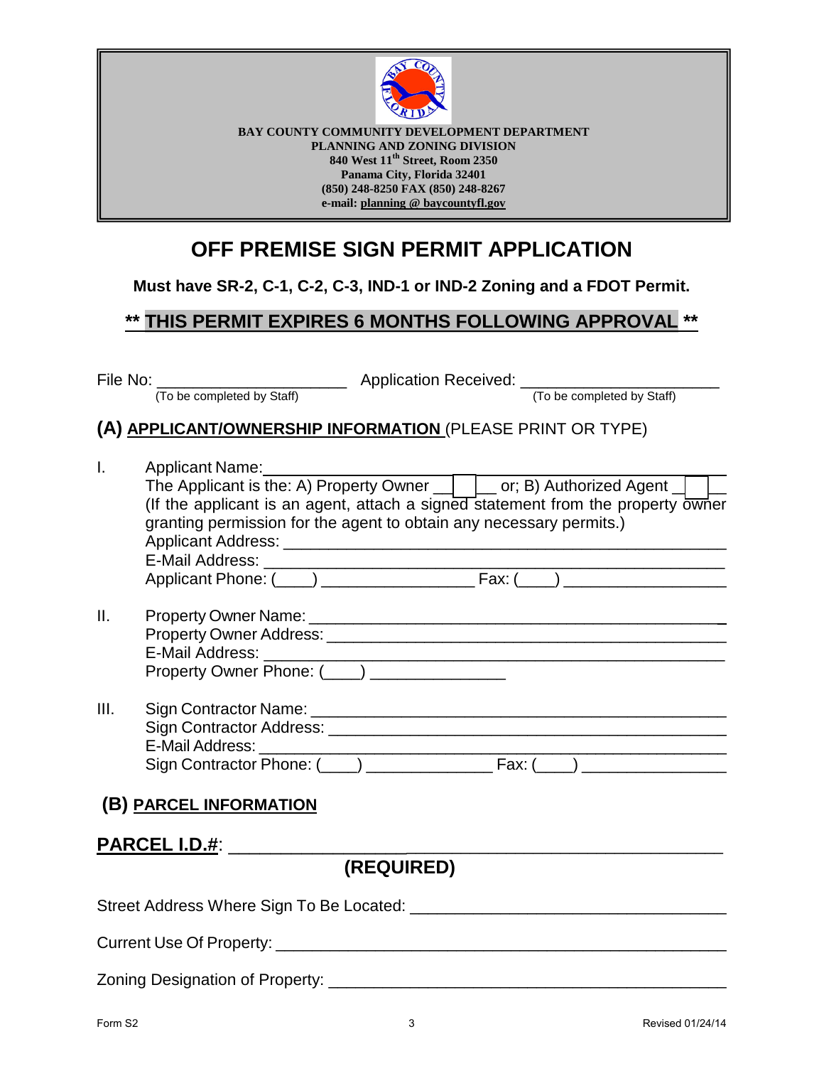

**BAY COUNTY COMMUNITY DEVELOPMENT DEPARTMENT PLANNING AND ZONING DIVISION 840 West 11th Street, Room 2350 Panama City, Florida 32401 (850) 248-8250 FAX (850) 248-8267 e-mail: planning @ baycountyfl.gov**

# **OFF PREMISE SIGN PERMIT APPLICATION**

**Must have SR-2, C-1, C-2, C-3, IND-1 or IND-2 Zoning and a FDOT Permit.**

## **\*\* THIS PERMIT EXPIRES 6 MONTHS FOLLOWING APPROVAL \*\***

| (A) APPLICANT/OWNERSHIP INFORMATION (PLEASE PRINT OR TYPE)<br>Applicant Name:<br>The Applicant is the: A) Property Owner Core B) Authorized Agent<br>granting permission for the agent to obtain any necessary permits.)<br>Property Owner Name: 1988 and 2009 and 2009 and 2009 and 2009 and 2009 and 2009 and 2009 and 2009 and 2009 and<br>(B) PARCEL INFORMATION<br><b>PARCEL I.D.#: ______</b><br>(REQUIRED) |      | File No: <u>To be completed by Staff</u> Application Received: <u>To be completed by Staff</u> |
|-------------------------------------------------------------------------------------------------------------------------------------------------------------------------------------------------------------------------------------------------------------------------------------------------------------------------------------------------------------------------------------------------------------------|------|------------------------------------------------------------------------------------------------|
|                                                                                                                                                                                                                                                                                                                                                                                                                   |      |                                                                                                |
|                                                                                                                                                                                                                                                                                                                                                                                                                   |      |                                                                                                |
| (If the applicant is an agent, attach a signed statement from the property owner                                                                                                                                                                                                                                                                                                                                  | I.   |                                                                                                |
|                                                                                                                                                                                                                                                                                                                                                                                                                   |      |                                                                                                |
|                                                                                                                                                                                                                                                                                                                                                                                                                   |      |                                                                                                |
|                                                                                                                                                                                                                                                                                                                                                                                                                   |      |                                                                                                |
|                                                                                                                                                                                                                                                                                                                                                                                                                   |      |                                                                                                |
|                                                                                                                                                                                                                                                                                                                                                                                                                   | II.  |                                                                                                |
|                                                                                                                                                                                                                                                                                                                                                                                                                   |      |                                                                                                |
|                                                                                                                                                                                                                                                                                                                                                                                                                   |      |                                                                                                |
|                                                                                                                                                                                                                                                                                                                                                                                                                   | III. |                                                                                                |
|                                                                                                                                                                                                                                                                                                                                                                                                                   |      |                                                                                                |
|                                                                                                                                                                                                                                                                                                                                                                                                                   |      |                                                                                                |
|                                                                                                                                                                                                                                                                                                                                                                                                                   |      |                                                                                                |
|                                                                                                                                                                                                                                                                                                                                                                                                                   |      |                                                                                                |
|                                                                                                                                                                                                                                                                                                                                                                                                                   |      |                                                                                                |
|                                                                                                                                                                                                                                                                                                                                                                                                                   |      |                                                                                                |
|                                                                                                                                                                                                                                                                                                                                                                                                                   |      |                                                                                                |

Zoning Designation of Property: \_\_\_\_\_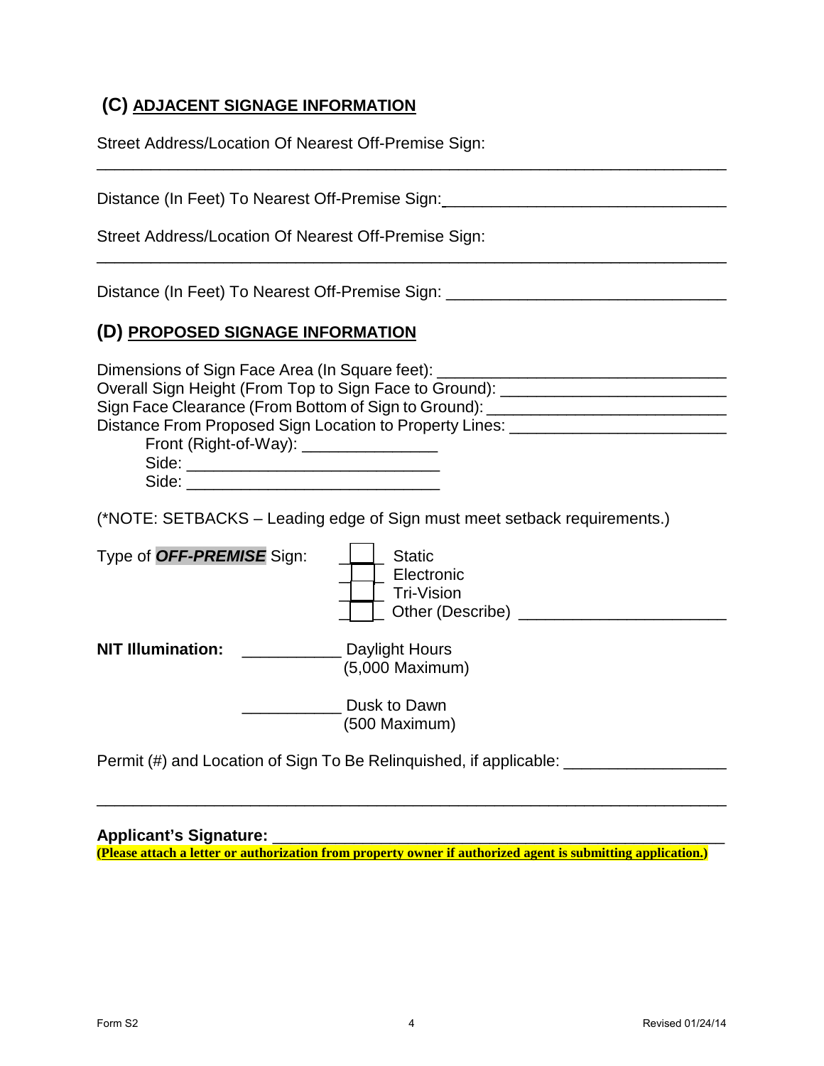## **(C) ADJACENT SIGNAGE INFORMATION**

| Street Address/Location Of Nearest Off-Premise Sign:                                                                                                                                                                                                                                                                                                                                  |  |  |
|---------------------------------------------------------------------------------------------------------------------------------------------------------------------------------------------------------------------------------------------------------------------------------------------------------------------------------------------------------------------------------------|--|--|
| Distance (In Feet) To Nearest Off-Premise Sign: ________________________________<br>Street Address/Location Of Nearest Off-Premise Sign:                                                                                                                                                                                                                                              |  |  |
| Distance (In Feet) To Nearest Off-Premise Sign: ________________________________                                                                                                                                                                                                                                                                                                      |  |  |
| (D) PROPOSED SIGNAGE INFORMATION                                                                                                                                                                                                                                                                                                                                                      |  |  |
| Dimensions of Sign Face Area (In Square feet): _________________________________<br>Overall Sign Height (From Top to Sign Face to Ground): _________________________<br>Sign Face Clearance (From Bottom of Sign to Ground): ___________________________<br>Distance From Proposed Sign Location to Property Lines: ________________________<br>Front (Right-of-Way): _______________ |  |  |
| (*NOTE: SETBACKS – Leading edge of Sign must meet setback requirements.)                                                                                                                                                                                                                                                                                                              |  |  |
| Type of OFF-PREMISE Sign:<br><b>Static</b><br>  Electronic<br>Tri-Vision                                                                                                                                                                                                                                                                                                              |  |  |
| <b>NIT Illumination:</b><br>Daylight Hours<br>(5,000 Maximum)                                                                                                                                                                                                                                                                                                                         |  |  |
| Dusk to Dawn<br>(500 Maximum)                                                                                                                                                                                                                                                                                                                                                         |  |  |
| Permit (#) and Location of Sign To Be Relinquished, if applicable: _____________                                                                                                                                                                                                                                                                                                      |  |  |

### **Applicant's Signature:** \_\_\_\_\_\_\_\_\_\_\_\_\_\_\_\_\_\_\_\_\_\_\_\_\_\_\_\_\_\_\_\_\_\_\_\_\_\_\_\_\_\_\_\_\_\_\_\_\_\_

**(Please attach a letter or authorization from property owner if authorized agent is submitting application.)** 

\_\_\_\_\_\_\_\_\_\_\_\_\_\_\_\_\_\_\_\_\_\_\_\_\_\_\_\_\_\_\_\_\_\_\_\_\_\_\_\_\_\_\_\_\_\_\_\_\_\_\_\_\_\_\_\_\_\_\_\_\_\_\_\_\_\_\_\_\_\_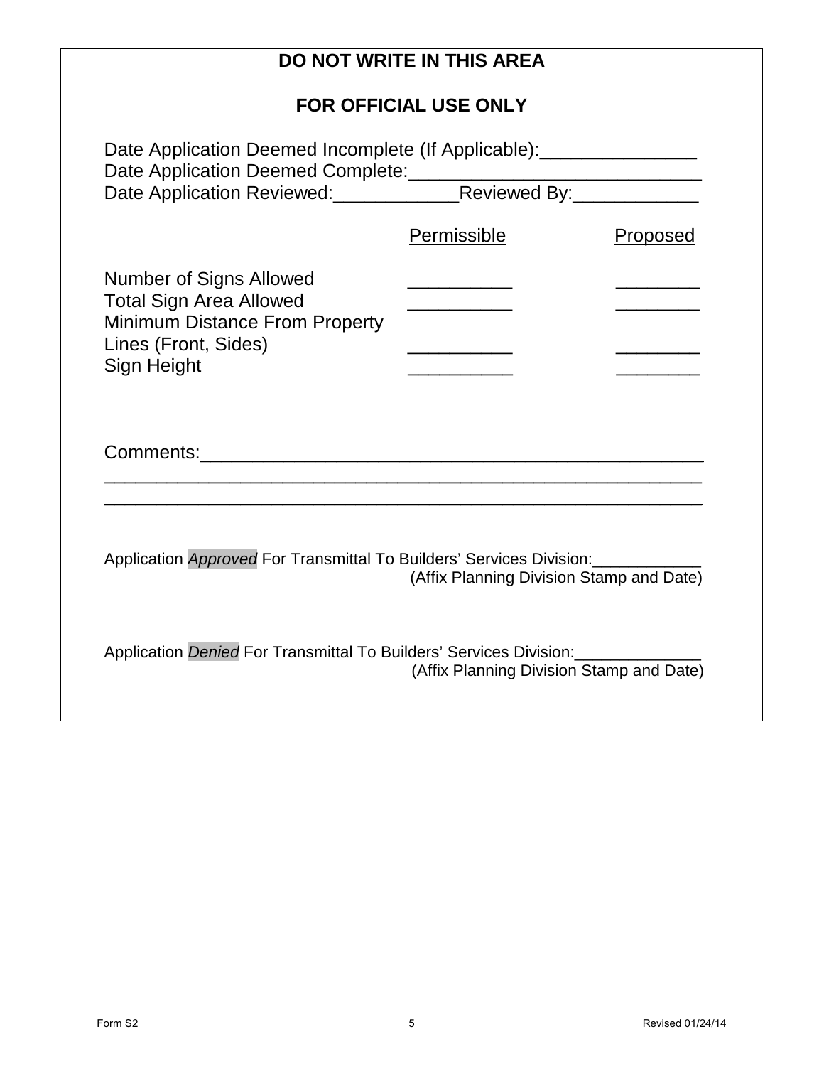|                                                                                                                                   | <b>DO NOT WRITE IN THIS AREA</b>         |          |
|-----------------------------------------------------------------------------------------------------------------------------------|------------------------------------------|----------|
|                                                                                                                                   | <b>FOR OFFICIAL USE ONLY</b>             |          |
| Date Application Deemed Incomplete (If Applicable): ____________________________                                                  |                                          |          |
| Date Application Reviewed: Reviewed By: Reviewed By:                                                                              |                                          |          |
|                                                                                                                                   | Permissible                              | Proposed |
| <b>Number of Signs Allowed</b><br><b>Total Sign Area Allowed</b><br><b>Minimum Distance From Property</b><br>Lines (Front, Sides) |                                          |          |
| Sign Height                                                                                                                       |                                          |          |
|                                                                                                                                   |                                          |          |
|                                                                                                                                   |                                          |          |
| Application Approved For Transmittal To Builders' Services Division:                                                              | (Affix Planning Division Stamp and Date) |          |
| Application Denied For Transmittal To Builders' Services Division:                                                                | (Affix Planning Division Stamp and Date) |          |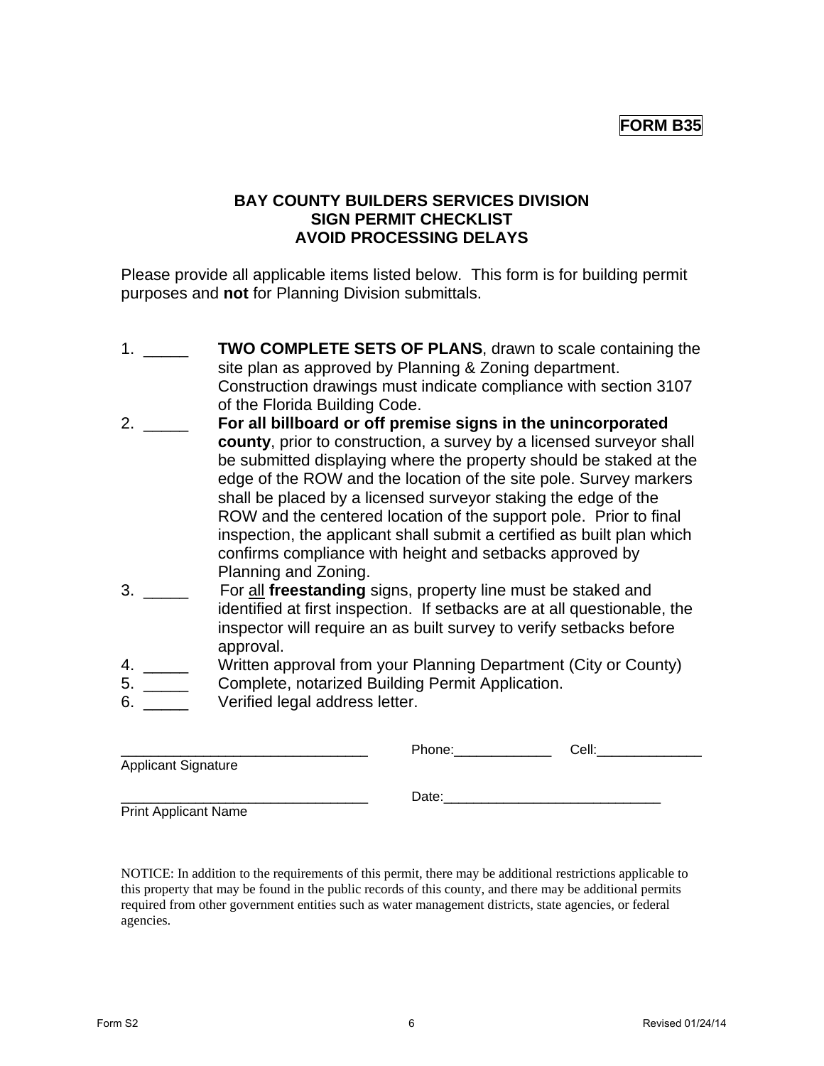### **FORM B35**

### **BAY COUNTY BUILDERS SERVICES DIVISION SIGN PERMIT CHECKLIST AVOID PROCESSING DELAYS**

Please provide all applicable items listed below. This form is for building permit purposes and **not** for Planning Division submittals.

- 1. \_\_\_\_\_ **TWO COMPLETE SETS OF PLANS**, drawn to scale containing the site plan as approved by Planning & Zoning department. Construction drawings must indicate compliance with section 3107 of the Florida Building Code.
- 2. \_\_\_\_\_ **For all billboard or off premise signs in the unincorporated county**, prior to construction, a survey by a licensed surveyor shall be submitted displaying where the property should be staked at the edge of the ROW and the location of the site pole. Survey markers shall be placed by a licensed surveyor staking the edge of the ROW and the centered location of the support pole. Prior to final inspection, the applicant shall submit a certified as built plan which confirms compliance with height and setbacks approved by Planning and Zoning.
- 3. \_\_\_\_\_ For all **freestanding** signs, property line must be staked and identified at first inspection. If setbacks are at all questionable, the inspector will require an as built survey to verify setbacks before approval.
- 4. \_\_\_\_\_ Written approval from your Planning Department (City or County)
- 5. \_\_\_\_\_ Complete, notarized Building Permit Application.
- 6. **Werified legal address letter.**

|                             | Phone: | Cell: |  |
|-----------------------------|--------|-------|--|
| <b>Applicant Signature</b>  |        |       |  |
|                             | Date:  |       |  |
| <b>Print Applicant Name</b> |        |       |  |

NOTICE: In addition to the requirements of this permit, there may be additional restrictions applicable to this property that may be found in the public records of this county, and there may be additional permits required from other government entities such as water management districts, state agencies, or federal agencies.